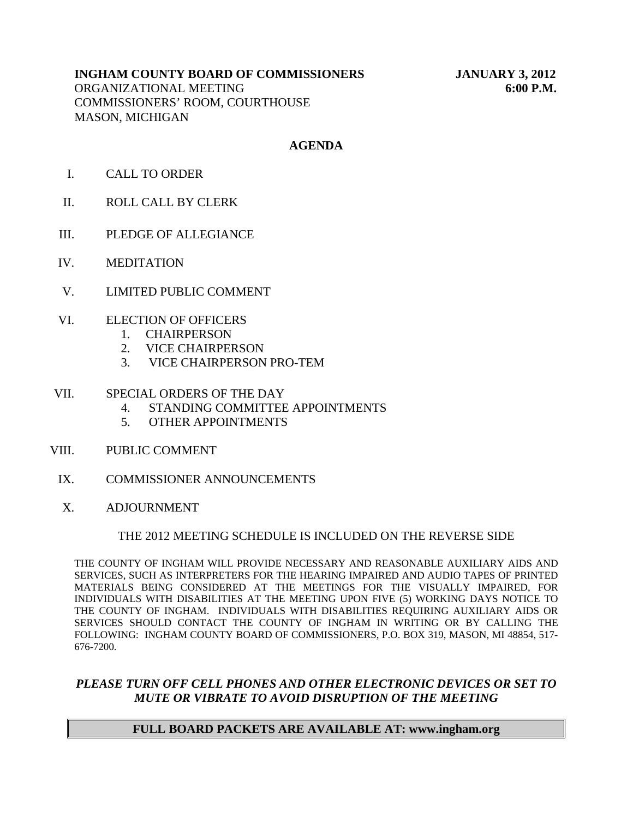# **INGHAM COUNTY BOARD OF COMMISSIONERS JANUARY 3, 2012**

ORGANIZATIONAL MEETING **6:00 P.M.** COMMISSIONERS' ROOM, COURTHOUSE MASON, MICHIGAN

# **AGENDA**

- I. CALL TO ORDER
- II. ROLL CALL BY CLERK
- III. PLEDGE OF ALLEGIANCE
- IV. MEDITATION
- V. LIMITED PUBLIC COMMENT
- VI. ELECTION OF OFFICERS
	- 1. CHAIRPERSON
	- 2. VICE CHAIRPERSON
	- 3. VICE CHAIRPERSON PRO-TEM

#### VII. SPECIAL ORDERS OF THE DAY

- 4. STANDING COMMITTEE APPOINTMENTS
- 5. OTHER APPOINTMENTS
- VIII. PUBLIC COMMENT
- IX. COMMISSIONER ANNOUNCEMENTS
- X. ADJOURNMENT

## THE 2012 MEETING SCHEDULE IS INCLUDED ON THE REVERSE SIDE

THE COUNTY OF INGHAM WILL PROVIDE NECESSARY AND REASONABLE AUXILIARY AIDS AND SERVICES, SUCH AS INTERPRETERS FOR THE HEARING IMPAIRED AND AUDIO TAPES OF PRINTED MATERIALS BEING CONSIDERED AT THE MEETINGS FOR THE VISUALLY IMPAIRED, FOR INDIVIDUALS WITH DISABILITIES AT THE MEETING UPON FIVE (5) WORKING DAYS NOTICE TO THE COUNTY OF INGHAM. INDIVIDUALS WITH DISABILITIES REQUIRING AUXILIARY AIDS OR SERVICES SHOULD CONTACT THE COUNTY OF INGHAM IN WRITING OR BY CALLING THE FOLLOWING: INGHAM COUNTY BOARD OF COMMISSIONERS, P.O. BOX 319, MASON, MI 48854, 517- 676-7200.

# *PLEASE TURN OFF CELL PHONES AND OTHER ELECTRONIC DEVICES OR SET TO MUTE OR VIBRATE TO AVOID DISRUPTION OF THE MEETING*

## **FULL BOARD PACKETS ARE AVAILABLE AT: www.ingham.org**